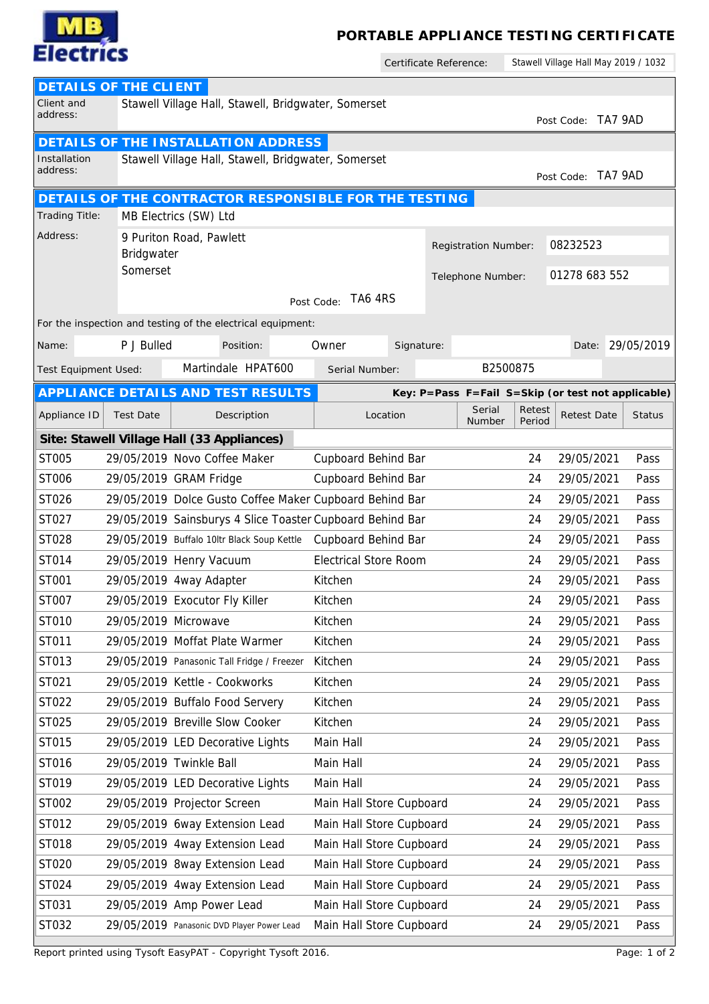

## **PORTABLE APPLIANCE TESTING CERTIFICATE**

Certificate Reference:

Stawell Village Hall May 2019 / 1032

|                                                                                                  | DETAILS OF THE CLIENT |                                                           |                              |            |                   |                  |                  |                    |                                                    |  |  |  |
|--------------------------------------------------------------------------------------------------|-----------------------|-----------------------------------------------------------|------------------------------|------------|-------------------|------------------|------------------|--------------------|----------------------------------------------------|--|--|--|
| Client and<br>address:                                                                           |                       | Stawell Village Hall, Stawell, Bridgwater, Somerset       |                              |            |                   |                  |                  |                    |                                                    |  |  |  |
|                                                                                                  |                       |                                                           |                              |            |                   |                  |                  | Post Code: TA7 9AD |                                                    |  |  |  |
| DETAILS OF THE INSTALLATION ADDRESS<br>Stawell Village Hall, Stawell, Bridgwater, Somerset       |                       |                                                           |                              |            |                   |                  |                  |                    |                                                    |  |  |  |
| Installation<br>address:                                                                         |                       |                                                           |                              |            |                   |                  |                  | Post Code: TA7 9AD |                                                    |  |  |  |
|                                                                                                  |                       |                                                           |                              |            |                   |                  |                  |                    |                                                    |  |  |  |
| DETAILS OF THE CONTRACTOR RESPONSIBLE FOR THE TESTING<br>Trading Title:<br>MB Electrics (SW) Ltd |                       |                                                           |                              |            |                   |                  |                  |                    |                                                    |  |  |  |
| Address:                                                                                         |                       | 9 Puriton Road, Pawlett                                   |                              |            |                   |                  |                  |                    |                                                    |  |  |  |
|                                                                                                  | Registration Number:  |                                                           |                              |            | 08232523          |                  |                  |                    |                                                    |  |  |  |
| Bridgwater<br>Somerset                                                                           |                       |                                                           |                              |            | Telephone Number: |                  |                  | 01278 683 552      |                                                    |  |  |  |
|                                                                                                  |                       |                                                           | TA6 4RS                      |            |                   |                  |                  |                    |                                                    |  |  |  |
| Post Code:<br>For the inspection and testing of the electrical equipment:                        |                       |                                                           |                              |            |                   |                  |                  |                    |                                                    |  |  |  |
|                                                                                                  |                       |                                                           |                              |            |                   |                  |                  |                    |                                                    |  |  |  |
| Name:                                                                                            | P J Bulled            | Position:                                                 | Owner                        | Signature: |                   |                  |                  |                    | Date: 29/05/2019                                   |  |  |  |
| Test Equipment Used:                                                                             |                       | Martindale HPAT600                                        | Serial Number:               |            |                   | B2500875         |                  |                    |                                                    |  |  |  |
|                                                                                                  |                       | APPLI ANCE DETAILS AND TEST RESULTS                       |                              |            |                   |                  |                  |                    | Key: P=Pass F=Fail S=Skip (or test not applicable) |  |  |  |
| Appliance ID                                                                                     | <b>Test Date</b>      | Description                                               | Location                     |            |                   | Serial<br>Number | Retest<br>Period | <b>Retest Date</b> | <b>Status</b>                                      |  |  |  |
|                                                                                                  |                       | Site: Stawell Village Hall (33 Appliances)                |                              |            |                   |                  |                  |                    |                                                    |  |  |  |
| ST005                                                                                            |                       | 29/05/2019 Novo Coffee Maker                              | Cupboard Behind Bar          |            |                   |                  | 24               | 29/05/2021         | Pass                                               |  |  |  |
| ST006                                                                                            |                       | 29/05/2019 GRAM Fridge                                    | Cupboard Behind Bar          |            |                   |                  | 24               | 29/05/2021         | Pass                                               |  |  |  |
| ST026                                                                                            |                       | 29/05/2019 Dolce Gusto Coffee Maker Cupboard Behind Bar   |                              |            |                   |                  | 24               | 29/05/2021         | Pass                                               |  |  |  |
| ST027                                                                                            |                       | 29/05/2019 Sainsburys 4 Slice Toaster Cupboard Behind Bar |                              |            |                   |                  | 24               | 29/05/2021         | Pass                                               |  |  |  |
| ST028                                                                                            |                       | 29/05/2019 Buffalo 10ltr Black Soup Kettle                | Cupboard Behind Bar          |            |                   |                  | 24               | 29/05/2021         | Pass                                               |  |  |  |
| ST014                                                                                            |                       | 29/05/2019 Henry Vacuum                                   | <b>Electrical Store Room</b> |            |                   |                  | 24               | 29/05/2021         | Pass                                               |  |  |  |
| ST001                                                                                            |                       | 29/05/2019 4way Adapter                                   | Kitchen                      |            |                   |                  | 24               | 29/05/2021         | Pass                                               |  |  |  |
| ST007                                                                                            |                       | 29/05/2019 Exocutor Fly Killer                            | Kitchen                      |            |                   |                  | 24               | 29/05/2021         | Pass                                               |  |  |  |
| ST010                                                                                            | 29/05/2019 Microwave  |                                                           | Kitchen                      |            |                   |                  | 24               | 29/05/2021         | Pass                                               |  |  |  |
| ST011                                                                                            |                       | 29/05/2019 Moffat Plate Warmer                            | Kitchen                      |            |                   |                  | 24               | 29/05/2021         | Pass                                               |  |  |  |
| ST013                                                                                            |                       | 29/05/2019 Panasonic Tall Fridge / Freezer                | Kitchen                      |            |                   |                  | 24               | 29/05/2021         | Pass                                               |  |  |  |
| ST021                                                                                            |                       | 29/05/2019 Kettle - Cookworks                             | Kitchen                      |            |                   |                  | 24               | 29/05/2021         | Pass                                               |  |  |  |
| ST022                                                                                            |                       | 29/05/2019 Buffalo Food Servery                           | Kitchen                      |            |                   |                  | 24               | 29/05/2021         | Pass                                               |  |  |  |
| ST025                                                                                            |                       | 29/05/2019 Breville Slow Cooker                           | Kitchen                      |            |                   |                  | 24               | 29/05/2021         | Pass                                               |  |  |  |
| ST015                                                                                            |                       | 29/05/2019 LED Decorative Lights                          | Main Hall                    |            |                   |                  | 24               | 29/05/2021         | Pass                                               |  |  |  |
| ST016                                                                                            |                       | 29/05/2019 Twinkle Ball                                   | Main Hall                    |            |                   |                  | 24               | 29/05/2021         | Pass                                               |  |  |  |
| ST019                                                                                            |                       | 29/05/2019 LED Decorative Lights                          | Main Hall                    |            |                   |                  | 24               | 29/05/2021         | Pass                                               |  |  |  |
| ST002                                                                                            |                       | 29/05/2019 Projector Screen                               | Main Hall Store Cupboard     |            |                   |                  | 24               | 29/05/2021         | Pass                                               |  |  |  |
| ST012                                                                                            |                       | 29/05/2019 6way Extension Lead                            | Main Hall Store Cupboard     |            |                   |                  | 24               | 29/05/2021         | Pass                                               |  |  |  |
| ST018                                                                                            |                       | 29/05/2019 4way Extension Lead                            | Main Hall Store Cupboard     |            |                   |                  | 24               | 29/05/2021         | Pass                                               |  |  |  |
| ST020                                                                                            |                       | 29/05/2019 8way Extension Lead                            | Main Hall Store Cupboard     |            |                   |                  | 24               | 29/05/2021         | Pass                                               |  |  |  |
| ST024                                                                                            |                       | 29/05/2019 4way Extension Lead                            | Main Hall Store Cupboard     |            |                   |                  | 24               | 29/05/2021         | Pass                                               |  |  |  |
| ST031                                                                                            |                       | 29/05/2019 Amp Power Lead                                 | Main Hall Store Cupboard     |            |                   |                  | 24               | 29/05/2021         | Pass                                               |  |  |  |
| ST032                                                                                            |                       | 29/05/2019 Panasonic DVD Player Power Lead                | Main Hall Store Cupboard     |            |                   |                  | 24               | 29/05/2021         | Pass                                               |  |  |  |